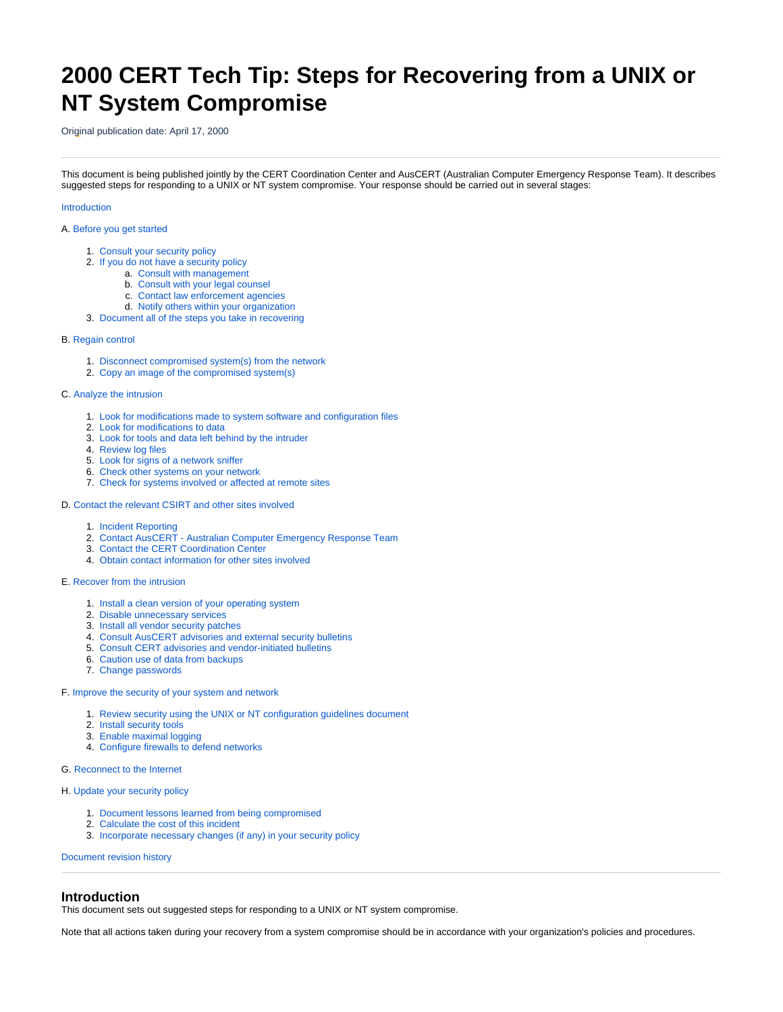# **2000 CERT Tech Tip: Steps for Recovering from a UNIX or NT System Compromise**

Original publication date: April 17, 2000

This document is being published jointly by the CERT Coordination Center and AusCERT (Australian Computer Emergency Response Team). It describes suggested steps for responding to a UNIX or NT system compromise. Your response should be carried out in several stages:

## [Introduction](#page-0-0)

## A. [Before you get started](#page-1-0)

- 1. [Consult your security policy](#page-1-1)
- 2. [If you do not have a security policy](#page-1-2)
	- a. [Consult with management](#page-1-3)
	- b. [Consult with your legal counsel](#page-1-4)
	- c. [Contact law enforcement agencies](#page-1-5)
- d. [Notify others within your organization](#page-2-0) 3. [Document all of the steps you take in recovering](#page-2-1)

## B. [Regain control](#page-2-2)

- 1. [Disconnect compromised system\(s\) from the network](#page-2-3)
- 2. [Copy an image of the compromised system\(s\)](#page-2-4)

## C. [Analyze the intrusion](#page-2-5)

- 1. [Look for modifications made to system software and configuration files](#page-2-6)
- 2. [Look for modifications to data](#page-3-0)
- 3. [Look for tools and data left behind by the intruder](#page-3-1)
- 4. [Review log files](#page-4-0)
- 5. [Look for signs of a network sniffer](#page-4-1)
- 6. [Check other systems on your network](#page-5-0) 7. [Check for systems involved or affected at remote sites](#page-5-1)
- D. [Contact the relevant CSIRT and other sites involved](#page-5-2)
	- 1. [Incident Reporting](#page-5-3)
	- 2. [Contact AusCERT Australian Computer Emergency Response Team](#page-5-4)
	- 3. [Contact the CERT Coordination Center](#page-6-0)
	- 4. [Obtain contact information for other sites involved](#page-6-1)

## E. [Recover from the intrusion](#page-6-2)

- 1. [Install a clean version of your operating system](#page-6-3)
- 2. [Disable unnecessary services](#page-7-0)
- 3. [Install all vendor security patches](#page-7-1)
- 4. [Consult AusCERT advisories and external security bulletins](#page-7-2)
- 5. [Consult CERT advisories and vendor-initiated bulletins](#page-7-3)
- 6. [Caution use of data from backups](#page-7-4)
- 7. [Change passwords](#page-7-5)

## F. [Improve the security of your system and network](#page-7-6)

- 1. [Review security using the UNIX or NT configuration guidelines document](#page-7-7)
- 2. [Install security tools](#page-8-0)
- 3. [Enable maximal logging](#page-8-1)
- 4. [Configure firewalls to defend networks](#page-8-2)

## G. [Reconnect to the Internet](#page-8-3)

#### H. [Update your security policy](#page-8-4)

- 1. [Document lessons learned from being compromised](#page-8-5)
- 2. [Calculate the cost of this incident](#page-8-6)
- 3. [Incorporate necessary changes \(if any\) in your security policy](#page-8-7)

[Document revision history](#page-8-8)

## <span id="page-0-0"></span>**Introduction**

This document sets out suggested steps for responding to a UNIX or NT system compromise.

Note that all actions taken during your recovery from a system compromise should be in accordance with your organization's policies and procedures.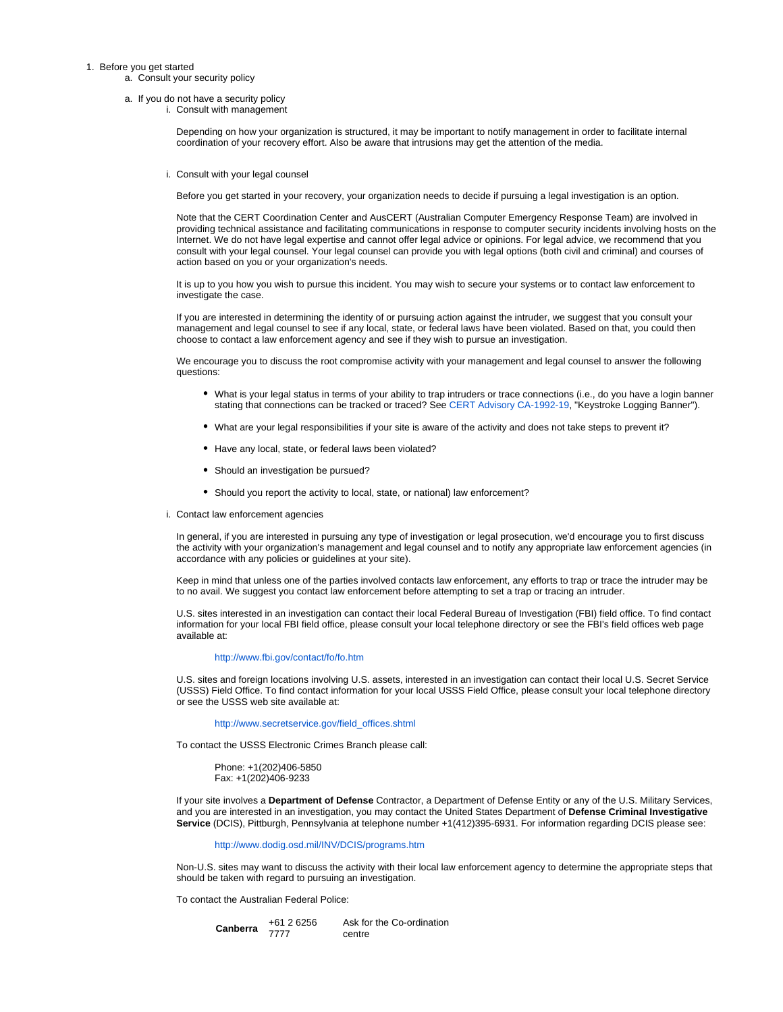#### <span id="page-1-4"></span><span id="page-1-3"></span><span id="page-1-2"></span><span id="page-1-1"></span><span id="page-1-0"></span>1. Before you get started

a. Consult your security policy

- a. If you do not have a security policy
	- i. Consult with management

Depending on how your organization is structured, it may be important to notify management in order to facilitate internal coordination of your recovery effort. Also be aware that intrusions may get the attention of the media.

i. Consult with your legal counsel

Before you get started in your recovery, your organization needs to decide if pursuing a legal investigation is an option.

Note that the CERT Coordination Center and AusCERT (Australian Computer Emergency Response Team) are involved in providing technical assistance and facilitating communications in response to computer security incidents involving hosts on the Internet. We do not have legal expertise and cannot offer legal advice or opinions. For legal advice, we recommend that you consult with your legal counsel. Your legal counsel can provide you with legal options (both civil and criminal) and courses of action based on you or your organization's needs.

It is up to you how you wish to pursue this incident. You may wish to secure your systems or to contact law enforcement to investigate the case.

If you are interested in determining the identity of or pursuing action against the intruder, we suggest that you consult your management and legal counsel to see if any local, state, or federal laws have been violated. Based on that, you could then choose to contact a law enforcement agency and see if they wish to pursue an investigation.

We encourage you to discuss the root compromise activity with your management and legal counsel to answer the following questions:

- What is your legal status in terms of your ability to trap intruders or trace connections (i.e., do you have a login banner stating that connections can be tracked or traced? See [CERT Advisory CA-1992-19](http://www.cert.org/advisories/CA-1992-19.html), "Keystroke Logging Banner").
- What are your legal responsibilities if your site is aware of the activity and does not take steps to prevent it?
- Have any local, state, or federal laws been violated?
- Should an investigation be pursued?
- Should you report the activity to local, state, or national) law enforcement?
- <span id="page-1-5"></span>i. Contact law enforcement agencies

In general, if you are interested in pursuing any type of investigation or legal prosecution, we'd encourage you to first discuss the activity with your organization's management and legal counsel and to notify any appropriate law enforcement agencies (in accordance with any policies or guidelines at your site).

Keep in mind that unless one of the parties involved contacts law enforcement, any efforts to trap or trace the intruder may be to no avail. We suggest you contact law enforcement before attempting to set a trap or tracing an intruder.

U.S. sites interested in an investigation can contact their local Federal Bureau of Investigation (FBI) field office. To find contact information for your local FBI field office, please consult your local telephone directory or see the FBI's field offices web page available at:

## <http://www.fbi.gov/contact/fo/fo.htm>

U.S. sites and foreign locations involving U.S. assets, interested in an investigation can contact their local U.S. Secret Service (USSS) Field Office. To find contact information for your local USSS Field Office, please consult your local telephone directory or see the USSS web site available at:

[http://www.secretservice.gov/field\\_offices.shtml](http://www.secretservice.gov/field_offices.shtml)

To contact the USSS Electronic Crimes Branch please call:

Phone: +1(202)406-5850 Fax: +1(202)406-9233

If your site involves a **Department of Defense** Contractor, a Department of Defense Entity or any of the U.S. Military Services, and you are interested in an investigation, you may contact the United States Department of **Defense Criminal Investigative Service** (DCIS), Pittburgh, Pennsylvania at telephone number +1(412)395-6931. For information regarding DCIS please see:

<http://www.dodig.osd.mil/INV/DCIS/programs.htm>

Non-U.S. sites may want to discuss the activity with their local law enforcement agency to determine the appropriate steps that should be taken with regard to pursuing an investigation.

To contact the Australian Federal Police:

| Canberra | $+6126256$ | Ask for the Co-ordination |
|----------|------------|---------------------------|
|          | 7777       | centre                    |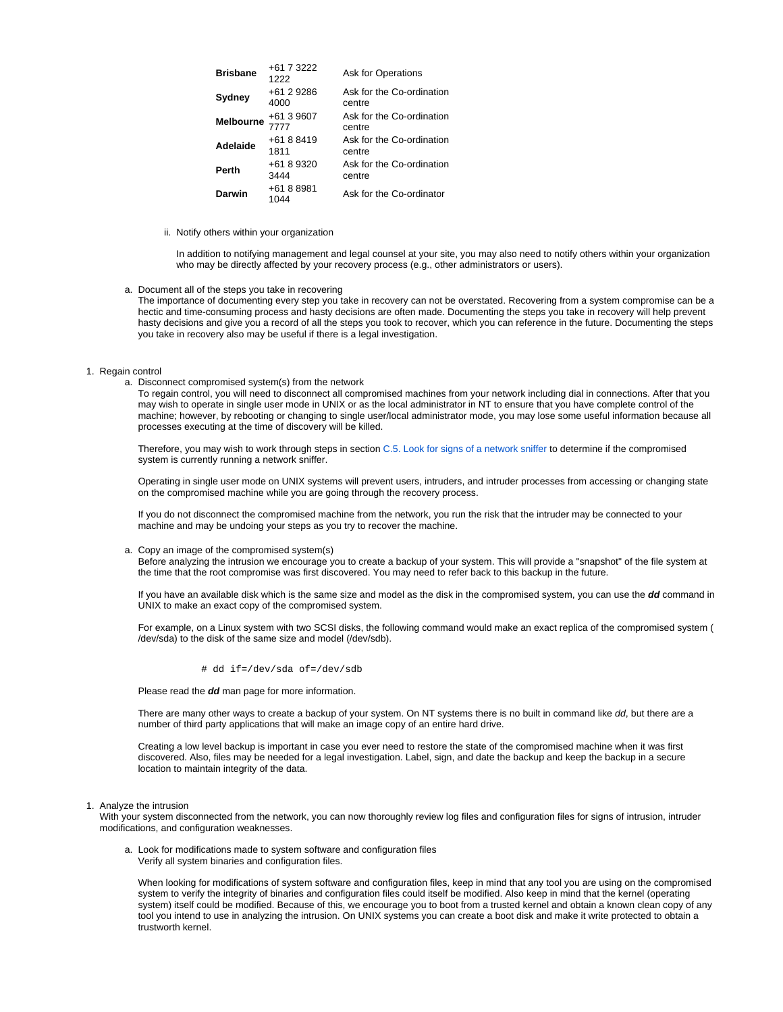| <b>Brisbane</b>  | +61 7 3222<br>1222 | Ask for Operations                  |
|------------------|--------------------|-------------------------------------|
| Sydney           | +61 2 9286<br>4000 | Ask for the Co-ordination<br>centre |
| <b>Melbourne</b> | +61 3 9607<br>7777 | Ask for the Co-ordination<br>centre |
| Adelaide         | +61 8 8419<br>1811 | Ask for the Co-ordination<br>centre |
| Perth            | +61 8 9320<br>3444 | Ask for the Co-ordination<br>centre |
| Darwin           | +61 8 8981<br>1044 | Ask for the Co-ordinator            |

ii. Notify others within your organization

In addition to notifying management and legal counsel at your site, you may also need to notify others within your organization who may be directly affected by your recovery process (e.g., other administrators or users).

<span id="page-2-0"></span>a. Document all of the steps you take in recovering

The importance of documenting every step you take in recovery can not be overstated. Recovering from a system compromise can be a hectic and time-consuming process and hasty decisions are often made. Documenting the steps you take in recovery will help prevent hasty decisions and give you a record of all the steps you took to recover, which you can reference in the future. Documenting the steps you take in recovery also may be useful if there is a legal investigation.

#### <span id="page-2-3"></span><span id="page-2-2"></span><span id="page-2-1"></span>1. Regain control

a. Disconnect compromised system(s) from the network

To regain control, you will need to disconnect all compromised machines from your network including dial in connections. After that you may wish to operate in single user mode in UNIX or as the local administrator in NT to ensure that you have complete control of the machine; however, by rebooting or changing to single user/local administrator mode, you may lose some useful information because all processes executing at the time of discovery will be killed.

Therefore, you may wish to work through steps in section [C.5. Look for signs of a network sniffer](#page-4-1) to determine if the compromised system is currently running a network sniffer.

Operating in single user mode on UNIX systems will prevent users, intruders, and intruder processes from accessing or changing state on the compromised machine while you are going through the recovery process.

If you do not disconnect the compromised machine from the network, you run the risk that the intruder may be connected to your machine and may be undoing your steps as you try to recover the machine.

#### <span id="page-2-4"></span>a. Copy an image of the compromised system(s)

Before analyzing the intrusion we encourage you to create a backup of your system. This will provide a "snapshot" of the file system at the time that the root compromise was first discovered. You may need to refer back to this backup in the future.

If you have an available disk which is the same size and model as the disk in the compromised system, you can use the **dd** command in UNIX to make an exact copy of the compromised system.

For example, on a Linux system with two SCSI disks, the following command would make an exact replica of the compromised system ( /dev/sda) to the disk of the same size and model (/dev/sdb).

#### # dd if=/dev/sda of=/dev/sdb

Please read the **dd** man page for more information.

There are many other ways to create a backup of your system. On NT systems there is no built in command like dd, but there are a number of third party applications that will make an image copy of an entire hard drive.

Creating a low level backup is important in case you ever need to restore the state of the compromised machine when it was first discovered. Also, files may be needed for a legal investigation. Label, sign, and date the backup and keep the backup in a secure location to maintain integrity of the data.

<span id="page-2-6"></span><span id="page-2-5"></span>1. Analyze the intrusion

With your system disconnected from the network, you can now thoroughly review log files and configuration files for signs of intrusion, intruder modifications, and configuration weaknesses.

a. Look for modifications made to system software and configuration files Verify all system binaries and configuration files.

When looking for modifications of system software and configuration files, keep in mind that any tool you are using on the compromised system to verify the integrity of binaries and configuration files could itself be modified. Also keep in mind that the kernel (operating system) itself could be modified. Because of this, we encourage you to boot from a trusted kernel and obtain a known clean copy of any tool you intend to use in analyzing the intrusion. On UNIX systems you can create a boot disk and make it write protected to obtain a trustworth kernel.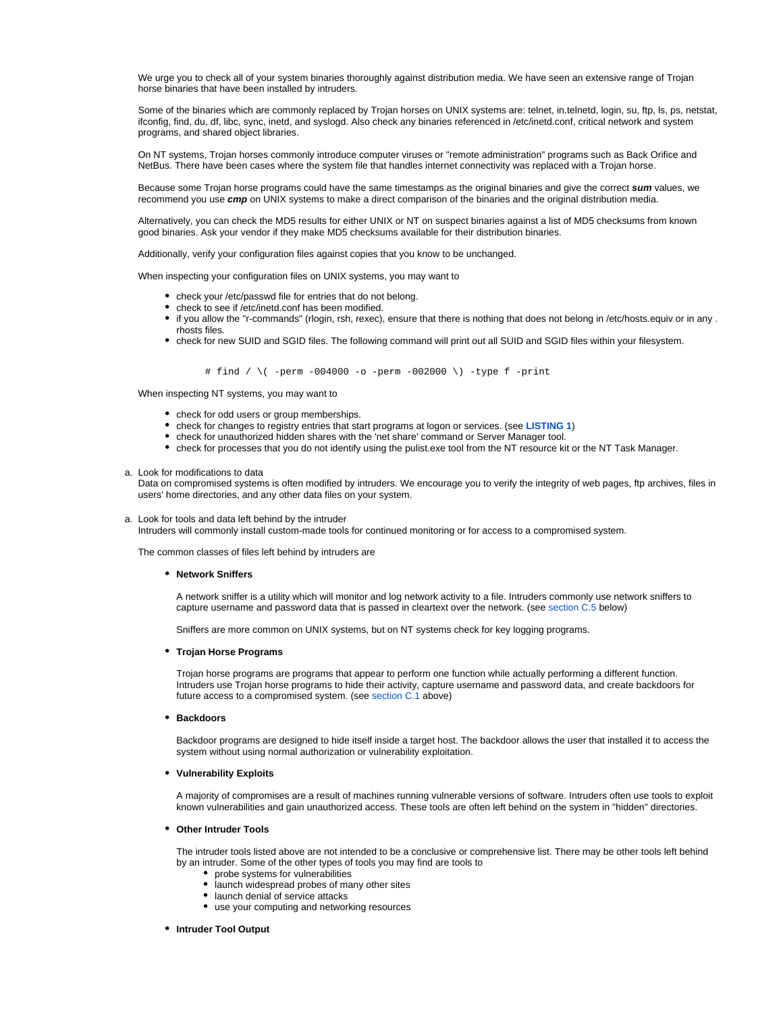We urge you to check all of your system binaries thoroughly against distribution media. We have seen an extensive range of Trojan horse binaries that have been installed by intruders.

Some of the binaries which are commonly replaced by Trojan horses on UNIX systems are: telnet, in.telnetd, login, su, ftp, ls, ps, netstat, ifconfig, find, du, df, libc, sync, inetd, and syslogd. Also check any binaries referenced in /etc/inetd.conf, critical network and system programs, and shared object libraries.

On NT systems, Trojan horses commonly introduce computer viruses or "remote administration" programs such as Back Orifice and NetBus. There have been cases where the system file that handles internet connectivity was replaced with a Trojan horse.

Because some Trojan horse programs could have the same timestamps as the original binaries and give the correct **sum** values, we recommend you use **cmp** on UNIX systems to make a direct comparison of the binaries and the original distribution media.

Alternatively, you can check the MD5 results for either UNIX or NT on suspect binaries against a list of MD5 checksums from known good binaries. Ask your vendor if they make MD5 checksums available for their distribution binaries.

Additionally, verify your configuration files against copies that you know to be unchanged.

When inspecting your configuration files on UNIX systems, you may want to

- check your /etc/passwd file for entries that do not belong.
- check to see if /etc/inetd.conf has been modified.
- if you allow the "r-commands" (rlogin, rsh, rexec), ensure that there is nothing that does not belong in /etc/hosts.equiv or in any . rhosts files.
- check for new SUID and SGID files. The following command will print out all SUID and SGID files within your filesystem.

# find /  $\langle$  -perm -004000 -o -perm -002000  $\rangle$ ) -type f -print

When inspecting NT systems, you may want to

- check for odd users or group memberships.
- check for changes to registry entries that start programs at logon or services. (see **LISTING 1**)
- check for unauthorized hidden shares with the 'net share' command or Server Manager tool.
- check for processes that you do not identify using the pulist.exe tool from the NT resource kit or the NT Task Manager.

<span id="page-3-0"></span>a. Look for modifications to data

Data on compromised systems is often modified by intruders. We encourage you to verify the integrity of web pages, ftp archives, files in users' home directories, and any other data files on your system.

<span id="page-3-1"></span>a. Look for tools and data left behind by the intruder

Intruders will commonly install custom-made tools for continued monitoring or for access to a compromised system.

The common classes of files left behind by intruders are

## **Network Sniffers**

A network sniffer is a utility which will monitor and log network activity to a file. Intruders commonly use network sniffers to capture username and password data that is passed in cleartext over the network. (see [section C.5](#page-4-1) below)

Sniffers are more common on UNIX systems, but on NT systems check for key logging programs.

#### **Trojan Horse Programs**

Trojan horse programs are programs that appear to perform one function while actually performing a different function. Intruders use Trojan horse programs to hide their activity, capture username and password data, and create backdoors for future access to a compromised system. (see [section C.1](#page-2-6) above)

**Backdoors**

Backdoor programs are designed to hide itself inside a target host. The backdoor allows the user that installed it to access the system without using normal authorization or vulnerability exploitation.

## **Vulnerability Exploits**

A majority of compromises are a result of machines running vulnerable versions of software. Intruders often use tools to exploit known vulnerabilities and gain unauthorized access. These tools are often left behind on the system in "hidden" directories.

#### **Other Intruder Tools**

The intruder tools listed above are not intended to be a conclusive or comprehensive list. There may be other tools left behind by an intruder. Some of the other types of tools you may find are tools to

- probe systems for vulnerabilities
- launch widespread probes of many other sites
- launch denial of service attacks
- use your computing and networking resources
- **Intruder Tool Output**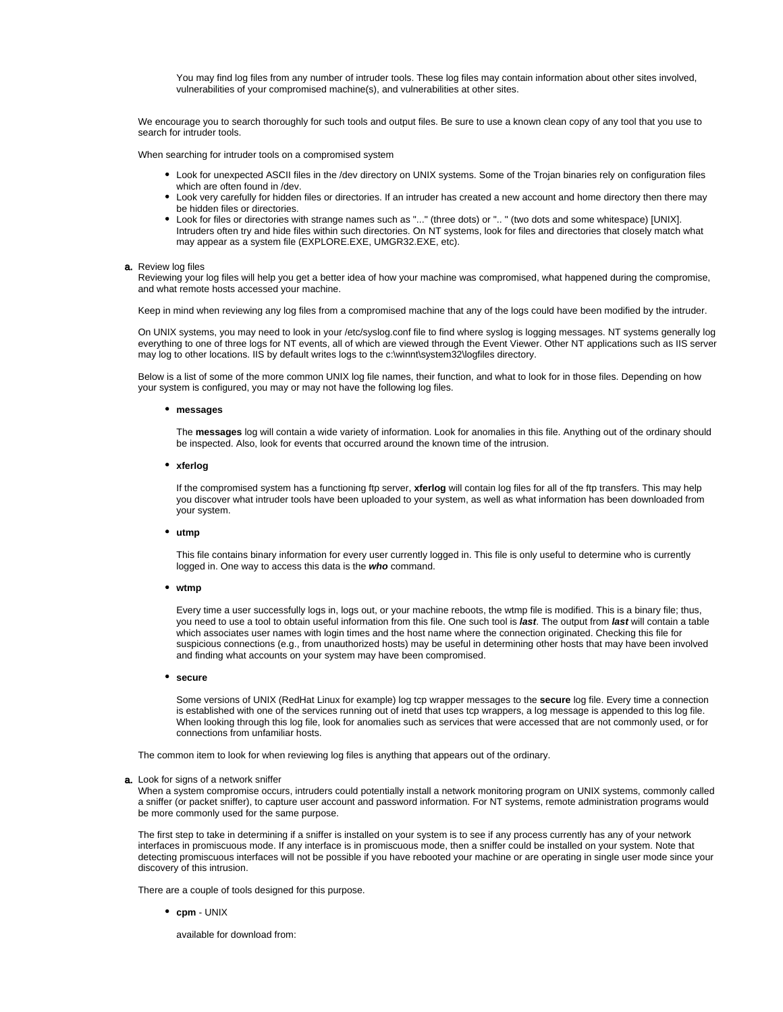You may find log files from any number of intruder tools. These log files may contain information about other sites involved, vulnerabilities of your compromised machine(s), and vulnerabilities at other sites.

We encourage you to search thoroughly for such tools and output files. Be sure to use a known clean copy of any tool that you use to search for intruder tools.

When searching for intruder tools on a compromised system

- Look for unexpected ASCII files in the /dev directory on UNIX systems. Some of the Trojan binaries rely on configuration files which are often found in /dev.
- Look very carefully for hidden files or directories. If an intruder has created a new account and home directory then there may be hidden files or directories.
- Look for files or directories with strange names such as "..." (three dots) or ".. " (two dots and some whitespace) [UNIX]. Intruders often try and hide files within such directories. On NT systems, look for files and directories that closely match what may appear as a system file (EXPLORE.EXE, UMGR32.EXE, etc).

#### <span id="page-4-0"></span>**a.** Review log files

Reviewing your log files will help you get a better idea of how your machine was compromised, what happened during the compromise, and what remote hosts accessed your machine.

Keep in mind when reviewing any log files from a compromised machine that any of the logs could have been modified by the intruder.

On UNIX systems, you may need to look in your /etc/syslog.conf file to find where syslog is logging messages. NT systems generally log everything to one of three logs for NT events, all of which are viewed through the Event Viewer. Other NT applications such as IIS server may log to other locations. IIS by default writes logs to the c:\winnt\system32\logfiles directory.

Below is a list of some of the more common UNIX log file names, their function, and what to look for in those files. Depending on how your system is configured, you may or may not have the following log files.

#### **messages**

The **messages** log will contain a wide variety of information. Look for anomalies in this file. Anything out of the ordinary should be inspected. Also, look for events that occurred around the known time of the intrusion.

#### **xferlog**

If the compromised system has a functioning ftp server, **xferlog** will contain log files for all of the ftp transfers. This may help you discover what intruder tools have been uploaded to your system, as well as what information has been downloaded from your system.

#### **utmp**

This file contains binary information for every user currently logged in. This file is only useful to determine who is currently logged in. One way to access this data is the **who** command.

## **wtmp**

Every time a user successfully logs in, logs out, or your machine reboots, the wtmp file is modified. This is a binary file; thus, you need to use a tool to obtain useful information from this file. One such tool is **last**. The output from **last** will contain a table which associates user names with login times and the host name where the connection originated. Checking this file for suspicious connections (e.g., from unauthorized hosts) may be useful in determining other hosts that may have been involved and finding what accounts on your system may have been compromised.

#### **secure**

Some versions of UNIX (RedHat Linux for example) log tcp wrapper messages to the **secure** log file. Every time a connection is established with one of the services running out of inetd that uses tcp wrappers, a log message is appended to this log file. When looking through this log file, look for anomalies such as services that were accessed that are not commonly used, or for connections from unfamiliar hosts.

The common item to look for when reviewing log files is anything that appears out of the ordinary.

#### <span id="page-4-1"></span>**a.** Look for signs of a network sniffer

When a system compromise occurs, intruders could potentially install a network monitoring program on UNIX systems, commonly called a sniffer (or packet sniffer), to capture user account and password information. For NT systems, remote administration programs would be more commonly used for the same purpose.

The first step to take in determining if a sniffer is installed on your system is to see if any process currently has any of your network interfaces in promiscuous mode. If any interface is in promiscuous mode, then a sniffer could be installed on your system. Note that detecting promiscuous interfaces will not be possible if you have rebooted your machine or are operating in single user mode since your discovery of this intrusion.

There are a couple of tools designed for this purpose.

**cpm** - UNIX

available for download from: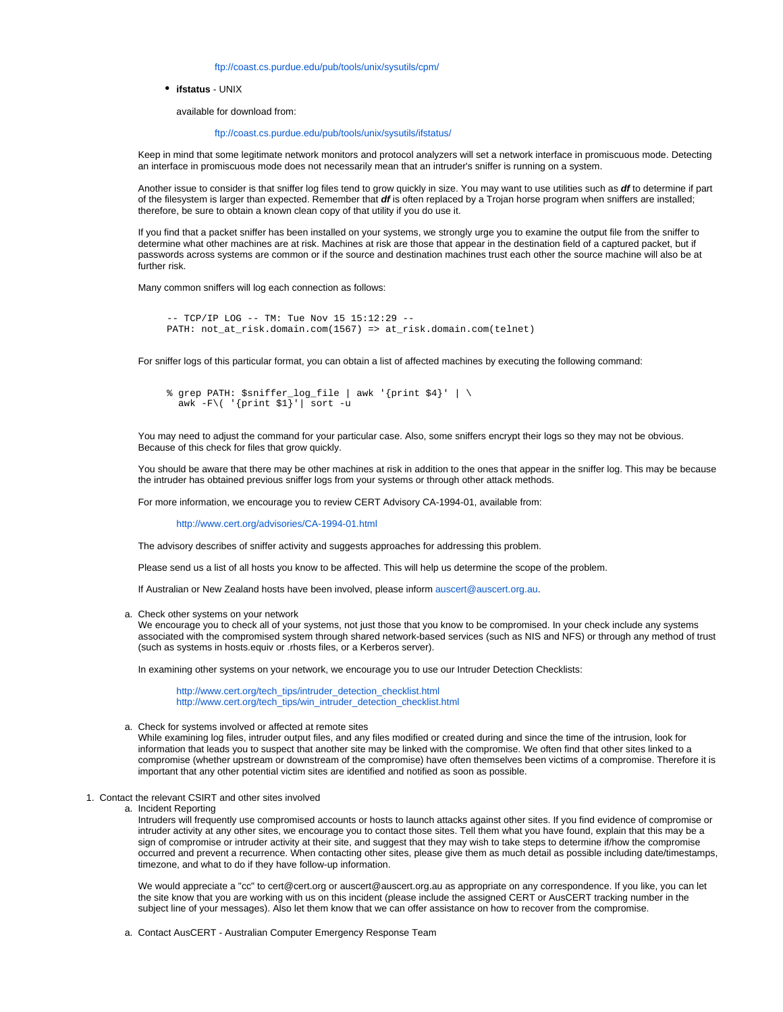<ftp://coast.cs.purdue.edu/pub/tools/unix/sysutils/cpm/>

**ifstatus** - UNIX

available for download from:

#### <ftp://coast.cs.purdue.edu/pub/tools/unix/sysutils/ifstatus/>

Keep in mind that some legitimate network monitors and protocol analyzers will set a network interface in promiscuous mode. Detecting an interface in promiscuous mode does not necessarily mean that an intruder's sniffer is running on a system.

Another issue to consider is that sniffer log files tend to grow quickly in size. You may want to use utilities such as **df** to determine if part of the filesystem is larger than expected. Remember that **df** is often replaced by a Trojan horse program when sniffers are installed; therefore, be sure to obtain a known clean copy of that utility if you do use it.

If you find that a packet sniffer has been installed on your systems, we strongly urge you to examine the output file from the sniffer to determine what other machines are at risk. Machines at risk are those that appear in the destination field of a captured packet, but if passwords across systems are common or if the source and destination machines trust each other the source machine will also be at further risk.

Many common sniffers will log each connection as follows:

```
 -- TCP/IP LOG -- TM: Tue Nov 15 15:12:29 --
PATH: not_at_risk.domain.com(1567) => at_risk.domain.com(telnet)
```
For sniffer logs of this particular format, you can obtain a list of affected machines by executing the following command:

```
 % grep PATH: $sniffer_log_file | awk '{print $4}' | \
awk -F\( '{print $1}'| sort -u
```
You may need to adjust the command for your particular case. Also, some sniffers encrypt their logs so they may not be obvious. Because of this check for files that grow quickly.

You should be aware that there may be other machines at risk in addition to the ones that appear in the sniffer log. This may be because the intruder has obtained previous sniffer logs from your systems or through other attack methods.

For more information, we encourage you to review CERT Advisory CA-1994-01, available from:

<http://www.cert.org/advisories/CA-1994-01.html>

The advisory describes of sniffer activity and suggests approaches for addressing this problem.

Please send us a list of all hosts you know to be affected. This will help us determine the scope of the problem.

If Australian or New Zealand hosts have been involved, please inform [auscert@auscert.org.au.](mailto:auscert@auscert.org.au)

<span id="page-5-0"></span>a. Check other systems on your network

We encourage you to check all of your systems, not just those that you know to be compromised. In your check include any systems associated with the compromised system through shared network-based services (such as NIS and NFS) or through any method of trust (such as systems in hosts.equiv or .rhosts files, or a Kerberos server).

In examining other systems on your network, we encourage you to use our Intruder Detection Checklists:

[http://www.cert.org/tech\\_tips/intruder\\_detection\\_checklist.html](http://www.cert.org/tech_tips/intruder_detection_checklist.html) [http://www.cert.org/tech\\_tips/win\\_intruder\\_detection\\_checklist.html](http://www.cert.org/tech_tips/win_intruder_detection_checklist.html)

a. Check for systems involved or affected at remote sites

While examining log files, intruder output files, and any files modified or created during and since the time of the intrusion, look for information that leads you to suspect that another site may be linked with the compromise. We often find that other sites linked to a compromise (whether upstream or downstream of the compromise) have often themselves been victims of a compromise. Therefore it is important that any other potential victim sites are identified and notified as soon as possible.

- <span id="page-5-3"></span><span id="page-5-2"></span><span id="page-5-1"></span>1. Contact the relevant CSIRT and other sites involved
	- a. Incident Reporting

Intruders will frequently use compromised accounts or hosts to launch attacks against other sites. If you find evidence of compromise or intruder activity at any other sites, we encourage you to contact those sites. Tell them what you have found, explain that this may be a sign of compromise or intruder activity at their site, and suggest that they may wish to take steps to determine if/how the compromise occurred and prevent a recurrence. When contacting other sites, please give them as much detail as possible including date/timestamps, timezone, and what to do if they have follow-up information.

We would appreciate a "cc" to cert@cert.org or auscert@auscert.org.au as appropriate on any correspondence. If you like, you can let the site know that you are working with us on this incident (please include the assigned CERT or AusCERT tracking number in the subject line of your messages). Also let them know that we can offer assistance on how to recover from the compromise.

<span id="page-5-4"></span>a. Contact AusCERT - Australian Computer Emergency Response Team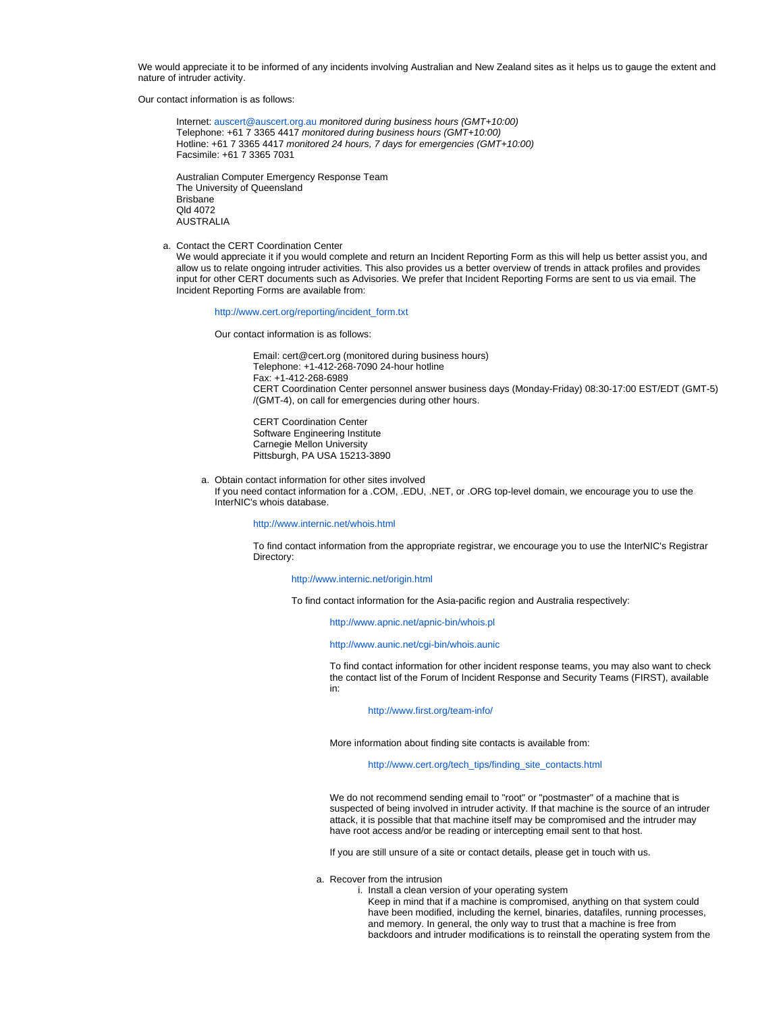We would appreciate it to be informed of any incidents involving Australian and New Zealand sites as it helps us to gauge the extent and nature of intruder activity.

Our contact information is as follows:

Internet: [auscert@auscert.org.au](mailto:auscert@auscert.org.au) monitored during business hours (GMT+10:00) Telephone: +61 7 3365 4417 monitored during business hours (GMT+10:00) Hotline: +61 7 3365 4417 monitored 24 hours, 7 days for emergencies (GMT+10:00) Facsimile: +61 7 3365 7031

Australian Computer Emergency Response Team The University of Queensland Brisbane Qld 4072 AUSTRALIA

<span id="page-6-0"></span>a. Contact the CERT Coordination Center

We would appreciate it if you would complete and return an Incident Reporting Form as this will help us better assist you, and allow us to relate ongoing intruder activities. This also provides us a better overview of trends in attack profiles and provides input for other CERT documents such as Advisories. We prefer that Incident Reporting Forms are sent to us via email. The Incident Reporting Forms are available from:

[http://www.cert.org/reporting/incident\\_form.txt](http://www.cert.org/reporting/incident_form.txt)

Our contact information is as follows:

Email: cert@cert.org (monitored during business hours) Telephone: +1-412-268-7090 24-hour hotline Fax: +1-412-268-6989 CERT Coordination Center personnel answer business days (Monday-Friday) 08:30-17:00 EST/EDT (GMT-5) /(GMT-4), on call for emergencies during other hours.

CERT Coordination Center Software Engineering Institute Carnegie Mellon University Pittsburgh, PA USA 15213-3890

<span id="page-6-1"></span>a. Obtain contact information for other sites involved If you need contact information for a .COM, .EDU, .NET, or .ORG top-level domain, we encourage you to use the InterNIC's whois database.

<http://www.internic.net/whois.html>

To find contact information from the appropriate registrar, we encourage you to use the InterNIC's Registrar Directory:

#### <http://www.internic.net/origin.html>

To find contact information for the Asia-pacific region and Australia respectively:

#### <http://www.apnic.net/apnic-bin/whois.pl>

## <http://www.aunic.net/cgi-bin/whois.aunic>

To find contact information for other incident response teams, you may also want to check the contact list of the Forum of Incident Response and Security Teams (FIRST), available in:

#### <http://www.first.org/team-info/>

More information about finding site contacts is available from:

## [http://www.cert.org/tech\\_tips/finding\\_site\\_contacts.html](http://www.cert.org/tech_tips/finding_site_contacts.html)

We do not recommend sending email to "root" or "postmaster" of a machine that is suspected of being involved in intruder activity. If that machine is the source of an intruder attack, it is possible that that machine itself may be compromised and the intruder may have root access and/or be reading or intercepting email sent to that host.

If you are still unsure of a site or contact details, please get in touch with us.

- <span id="page-6-3"></span><span id="page-6-2"></span>a. Recover from the intrusion
	- i. Install a clean version of your operating system

Keep in mind that if a machine is compromised, anything on that system could have been modified, including the kernel, binaries, datafiles, running processes, and memory. In general, the only way to trust that a machine is free from backdoors and intruder modifications is to reinstall the operating system from the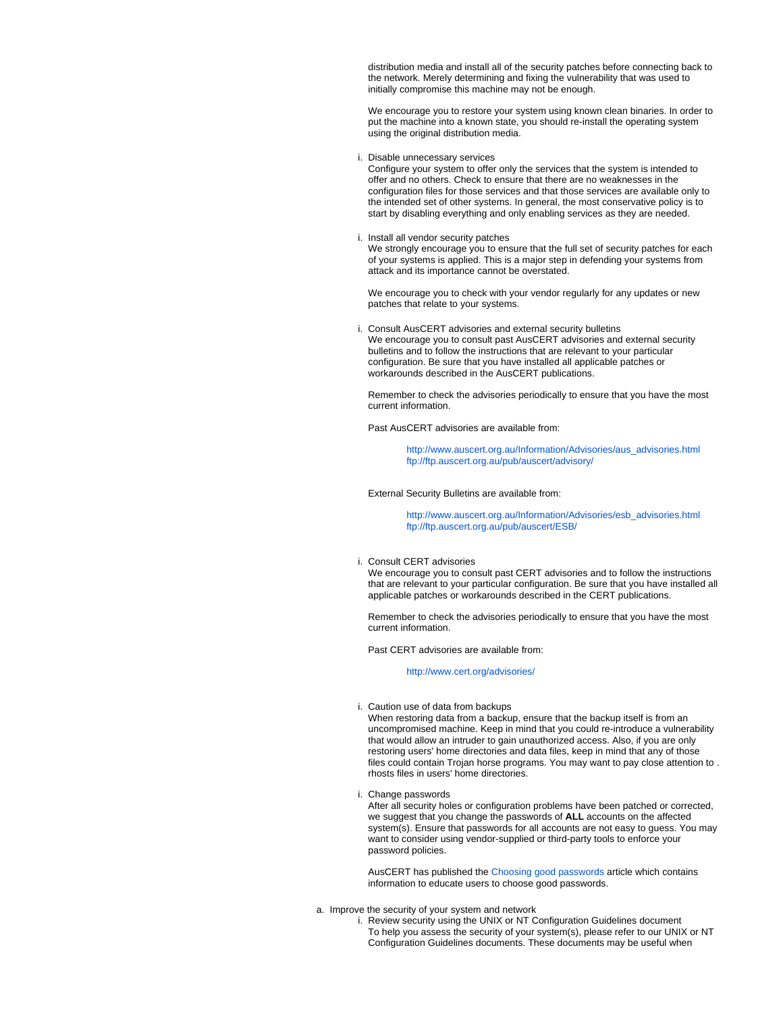distribution media and install all of the security patches before connecting back to the network. Merely determining and fixing the vulnerability that was used to initially compromise this machine may not be enough.

We encourage you to restore your system using known clean binaries. In order to put the machine into a known state, you should re-install the operating system using the original distribution media.

<span id="page-7-0"></span>i. Disable unnecessary services

Configure your system to offer only the services that the system is intended to offer and no others. Check to ensure that there are no weaknesses in the configuration files for those services and that those services are available only to the intended set of other systems. In general, the most conservative policy is to start by disabling everything and only enabling services as they are needed.

<span id="page-7-1"></span>i. Install all vendor security patches

We strongly encourage you to ensure that the full set of security patches for each of your systems is applied. This is a major step in defending your systems from attack and its importance cannot be overstated.

We encourage you to check with your vendor regularly for any updates or new patches that relate to your systems.

<span id="page-7-2"></span>i. Consult AusCERT advisories and external security bulletins We encourage you to consult past AusCERT advisories and external security bulletins and to follow the instructions that are relevant to your particular configuration. Be sure that you have installed all applicable patches or workarounds described in the AusCERT publications.

Remember to check the advisories periodically to ensure that you have the most current information.

Past AusCERT advisories are available from:

[http://www.auscert.org.au/Information/Advisories/aus\\_advisories.html](http://www.auscert.org.au/Information/Advisories/aus_advisories.html) <ftp://ftp.auscert.org.au/pub/auscert/advisory/>

External Security Bulletins are available from:

[http://www.auscert.org.au/Information/Advisories/esb\\_advisories.html](http://www.auscert.org.au/Information/Advisories/esb_advisories.html) <ftp://ftp.auscert.org.au/pub/auscert/ESB/>

<span id="page-7-3"></span>i. Consult CERT advisories

We encourage you to consult past CERT advisories and to follow the instructions that are relevant to your particular configuration. Be sure that you have installed all applicable patches or workarounds described in the CERT publications.

Remember to check the advisories periodically to ensure that you have the most current information.

Past CERT advisories are available from:

<http://www.cert.org/advisories/>

<span id="page-7-4"></span>i. Caution use of data from backups

When restoring data from a backup, ensure that the backup itself is from an uncompromised machine. Keep in mind that you could re-introduce a vulnerability that would allow an intruder to gain unauthorized access. Also, if you are only restoring users' home directories and data files, keep in mind that any of those files could contain Trojan horse programs. You may want to pay close attention to . rhosts files in users' home directories.

i. Change passwords

After all security holes or configuration problems have been patched or corrected, we suggest that you change the passwords of **ALL** accounts on the affected system(s). Ensure that passwords for all accounts are not easy to guess. You may want to consider using vendor-supplied or third-party tools to enforce your password policies.

AusCERT has published the [Choosing good passwords](http://www.auscert.org.au/Information/Auscert_info/Papers/good_password.html) article which contains information to educate users to choose good passwords.

<span id="page-7-7"></span><span id="page-7-6"></span><span id="page-7-5"></span>a. Improve the security of your system and network

i. Review security using the UNIX or NT Configuration Guidelines document To help you assess the security of your system(s), please refer to our UNIX or NT Configuration Guidelines documents. These documents may be useful when